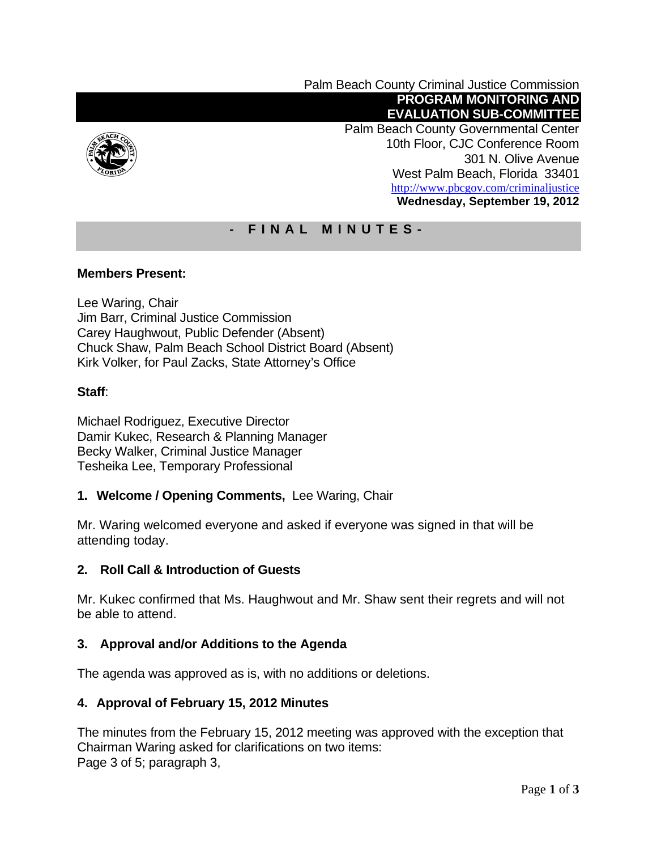Palm Beach County Criminal Justice Commission  **PROGRAM MONITORING AND EVALUATION SUB-COMMITTEE**  Palm Beach County Governmental Center



10th Floor, CJC Conference Room 301 N. Olive Avenue West Palm Beach, Florida 33401 http://www.pbcgov.com/criminaljustice **Wednesday, September 19, 2012** 

# **- FINAL MINUTES-**

### **Members Present:**

Lee Waring, Chair Jim Barr, Criminal Justice Commission Carey Haughwout, Public Defender (Absent) Chuck Shaw, Palm Beach School District Board (Absent) Kirk Volker, for Paul Zacks, State Attorney's Office

#### **Staff**:

Michael Rodriguez, Executive Director Damir Kukec, Research & Planning Manager Becky Walker, Criminal Justice Manager Tesheika Lee, Temporary Professional

### **1. Welcome / Opening Comments,** Lee Waring, Chair

Mr. Waring welcomed everyone and asked if everyone was signed in that will be attending today.

### **2. Roll Call & Introduction of Guests**

Mr. Kukec confirmed that Ms. Haughwout and Mr. Shaw sent their regrets and will not be able to attend.

### **3. Approval and/or Additions to the Agenda**

The agenda was approved as is, with no additions or deletions.

### **4. Approval of February 15, 2012 Minutes**

The minutes from the February 15, 2012 meeting was approved with the exception that Chairman Waring asked for clarifications on two items: Page 3 of 5; paragraph 3,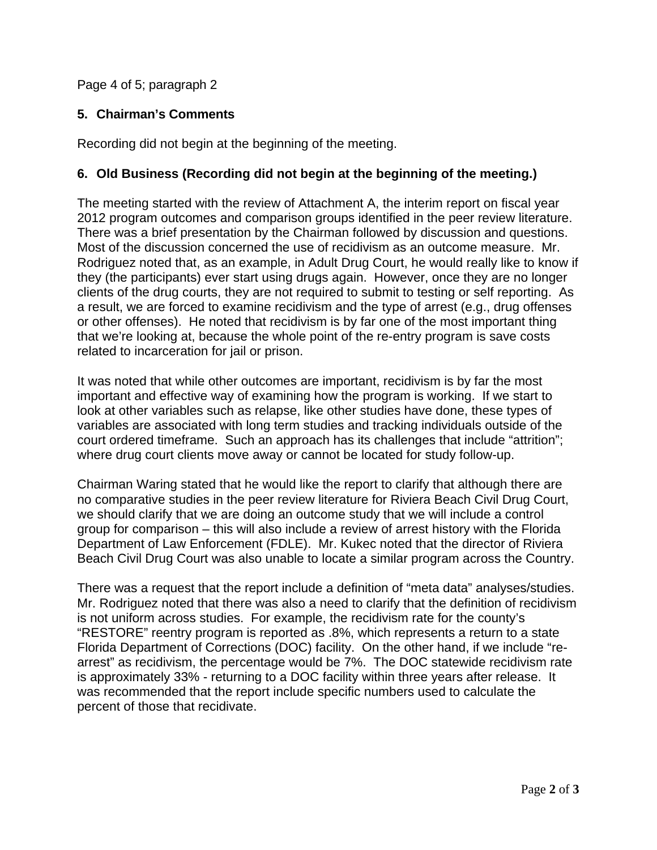Page 4 of 5; paragraph 2

# **5. Chairman's Comments**

Recording did not begin at the beginning of the meeting.

### **6. Old Business (Recording did not begin at the beginning of the meeting.)**

The meeting started with the review of Attachment A, the interim report on fiscal year 2012 program outcomes and comparison groups identified in the peer review literature. There was a brief presentation by the Chairman followed by discussion and questions. Most of the discussion concerned the use of recidivism as an outcome measure. Mr. Rodriguez noted that, as an example, in Adult Drug Court, he would really like to know if they (the participants) ever start using drugs again. However, once they are no longer clients of the drug courts, they are not required to submit to testing or self reporting. As a result, we are forced to examine recidivism and the type of arrest (e.g., drug offenses or other offenses). He noted that recidivism is by far one of the most important thing that we're looking at, because the whole point of the re-entry program is save costs related to incarceration for jail or prison.

It was noted that while other outcomes are important, recidivism is by far the most important and effective way of examining how the program is working. If we start to look at other variables such as relapse, like other studies have done, these types of variables are associated with long term studies and tracking individuals outside of the court ordered timeframe. Such an approach has its challenges that include "attrition"; where drug court clients move away or cannot be located for study follow-up.

Chairman Waring stated that he would like the report to clarify that although there are no comparative studies in the peer review literature for Riviera Beach Civil Drug Court, we should clarify that we are doing an outcome study that we will include a control group for comparison – this will also include a review of arrest history with the Florida Department of Law Enforcement (FDLE). Mr. Kukec noted that the director of Riviera Beach Civil Drug Court was also unable to locate a similar program across the Country.

There was a request that the report include a definition of "meta data" analyses/studies. Mr. Rodriguez noted that there was also a need to clarify that the definition of recidivism is not uniform across studies. For example, the recidivism rate for the county's "RESTORE" reentry program is reported as .8%, which represents a return to a state Florida Department of Corrections (DOC) facility. On the other hand, if we include "rearrest" as recidivism, the percentage would be 7%. The DOC statewide recidivism rate is approximately 33% - returning to a DOC facility within three years after release. It was recommended that the report include specific numbers used to calculate the percent of those that recidivate.